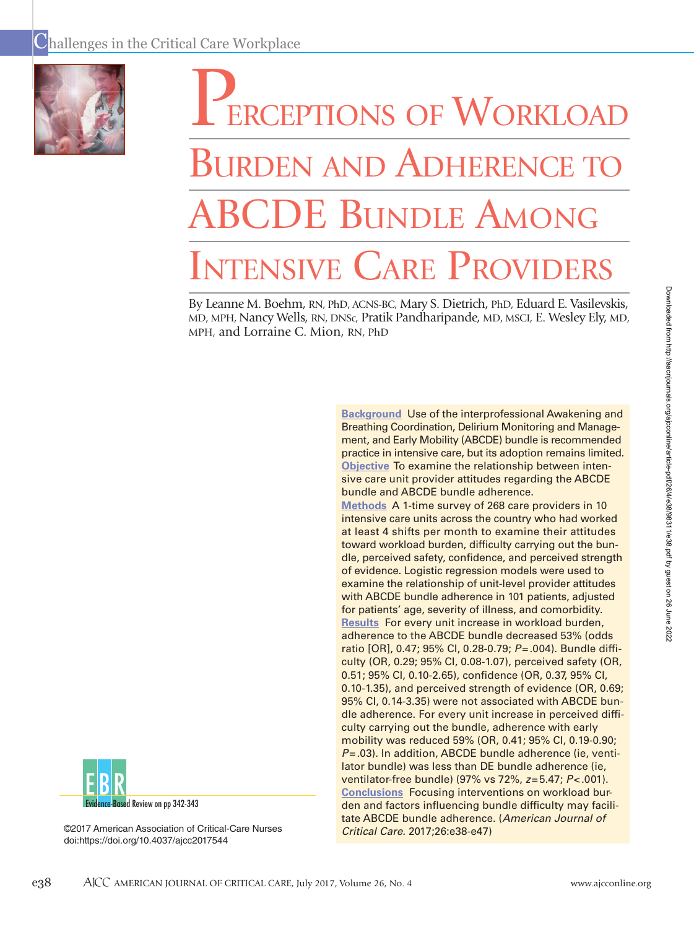

# **ERCEPTIONS OF WORKLOAD** BURDEN AND ADHERENCE T **BCDE BUNDLE AMONG** INTENSIVE CARE PROVII

By Leanne M. Boehm, RN, PhD, ACNS-BC, Mary S. Dietrich, PhD, Eduard E. Vasilevskis, MD, MPH, Nancy Wells, RN, DNSc, Pratik Pandharipande, MD, MSCI, E. Wesley Ely, MD, MPH, and Lorraine C. Mion, RN, PhD

> **Background** Use of the interprofessional Awakening and Breathing Coordination, Delirium Monitoring and Management, and Early Mobility (ABCDE) bundle is recommended practice in intensive care, but its adoption remains limited. **Objective** To examine the relationship between intensive care unit provider attitudes regarding the ABCDE bundle and ABCDE bundle adherence.

> **Methods** A 1-time survey of 268 care providers in 10 intensive care units across the country who had worked at least 4 shifts per month to examine their attitudes toward workload burden, difficulty carrying out the bundle, perceived safety, confidence, and perceived strength of evidence. Logistic regression models were used to examine the relationship of unit-level provider attitudes with ABCDE bundle adherence in 101 patients, adjusted for patients' age, severity of illness, and comorbidity. **Results** For every unit increase in workload burden, adherence to the ABCDE bundle decreased 53% (odds ratio [OR], 0.47; 95% CI, 0.28-0.79; *P*=.004). Bundle difficulty (OR, 0.29; 95% CI, 0.08-1.07), perceived safety (OR, 0.51; 95% CI, 0.10-2.65), confidence (OR, 0.37, 95% CI, 0.10-1.35), and perceived strength of evidence (OR, 0.69; 95% CI, 0.14-3.35) were not associated with ABCDE bundle adherence. For every unit increase in perceived difficulty carrying out the bundle, adherence with early mobility was reduced 59% (OR, 0.41; 95% CI, 0.19-0.90; *P*=.03). In addition, ABCDE bundle adherence (ie, ventilator bundle) was less than DE bundle adherence (ie, ventilator-free bundle) (97% vs 72%, *z*=5.47; *P*<.001). **Conclusions** Focusing interventions on workload burden and factors influencing bundle difficulty may facilitate ABCDE bundle adherence. (*American Journal of Critical Care.* 2017;26:e38-e47)



©2017 American Association of Critical-Care Nurses doi:https://doi.org/10.4037/ajcc2017544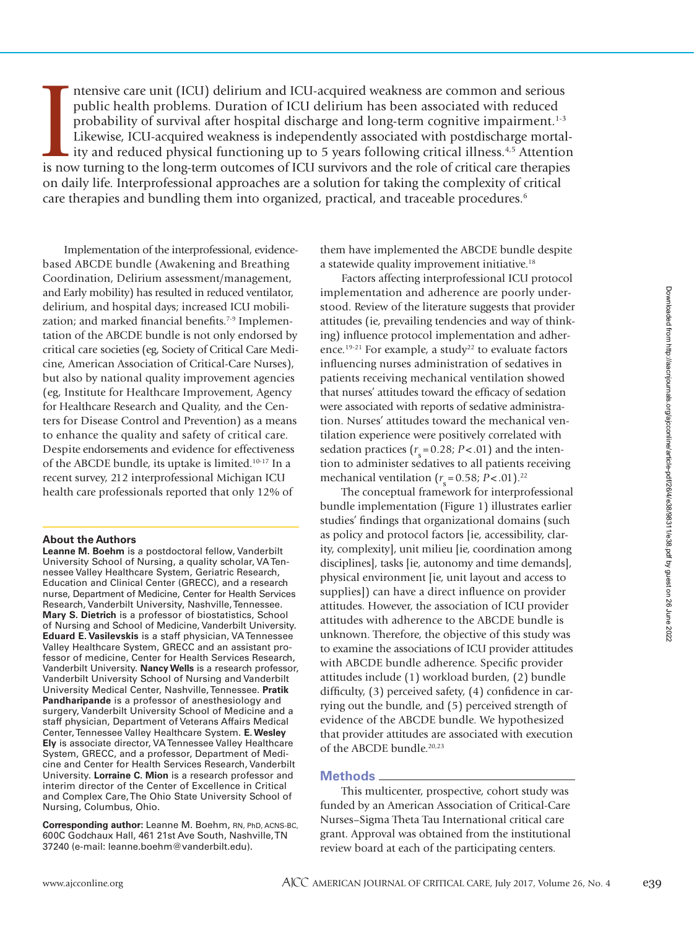Intensive care unit (ICU) delirium and ICU-acquired weakness are common and serious public health problems. Duration of ICU delirium has been associated with reduced probability of survival after hospital discharge and lon ntensive care unit (ICU) delirium and ICU-acquired weakness are common and serious public health problems. Duration of ICU delirium has been associated with reduced probability of survival after hospital discharge and long-term cognitive impairment.<sup>1-3</sup> Likewise, ICU-acquired weakness is independently associated with postdischarge mortality and reduced physical functioning up to 5 years following critical illness.<sup>4,5</sup> Attention on daily life. Interprofessional approaches are a solution for taking the complexity of critical care therapies and bundling them into organized, practical, and traceable procedures.<sup>6</sup>

Implementation of the interprofessional, evidencebased ABCDE bundle (Awakening and Breathing Coordination, Delirium assessment/management, and Early mobility) has resulted in reduced ventilator, delirium, and hospital days; increased ICU mobilization; and marked financial benefits.<sup>7-9</sup> Implementation of the ABCDE bundle is not only endorsed by critical care societies (eg, Society of Critical Care Medicine, American Association of Critical-Care Nurses), but also by national quality improvement agencies (eg, Institute for Healthcare Improvement, Agency for Healthcare Research and Quality, and the Centers for Disease Control and Prevention) as a means to enhance the quality and safety of critical care. Despite endorsements and evidence for effectiveness of the ABCDE bundle, its uptake is limited.10-17 In a recent survey, 212 interprofessional Michigan ICU health care professionals reported that only 12% of

#### **About the Authors**

**Leanne M. Boehm** is a postdoctoral fellow, Vanderbilt University School of Nursing, a quality scholar, VA Tennessee Valley Healthcare System, Geriatric Research, Education and Clinical Center (GRECC), and a research nurse, Department of Medicine, Center for Health Services Research, Vanderbilt University, Nashville, Tennessee. **Mary S. Dietrich** is a professor of biostatistics, School of Nursing and School of Medicine, Vanderbilt University. **Eduard E. Vasilevskis** is a staff physician, VA Tennessee Valley Healthcare System, GRECC and an assistant professor of medicine, Center for Health Services Research, Vanderbilt University. **Nancy Wells** is a research professor, Vanderbilt University School of Nursing and Vanderbilt University Medical Center, Nashville, Tennessee. **Pratik Pandharipande** is a professor of anesthesiology and surgery, Vanderbilt University School of Medicine and a staff physician, Department of Veterans Affairs Medical Center, Tennessee Valley Healthcare System. **E. Wesley Ely** is associate director, VA Tennessee Valley Healthcare System, GRECC, and a professor, Department of Medicine and Center for Health Services Research, Vanderbilt University. **Lorraine C. Mion** is a research professor and interim director of the Center of Excellence in Critical and Complex Care, The Ohio State University School of Nursing, Columbus, Ohio.

**Corresponding author:** Leanne M. Boehm, RN, PhD, ACNS-BC, 600C Godchaux Hall, 461 21st Ave South, Nashville, TN 37240 (e-mail: leanne.boehm@vanderbilt.edu).

them have implemented the ABCDE bundle despite a statewide quality improvement initiative.<sup>18</sup>

Factors affecting interprofessional ICU protocol implementation and adherence are poorly understood. Review of the literature suggests that provider attitudes (ie, prevailing tendencies and way of thinking) influence protocol implementation and adherence.<sup>19-21</sup> For example, a study<sup>22</sup> to evaluate factors influencing nurses administration of sedatives in patients receiving mechanical ventilation showed that nurses' attitudes toward the efficacy of sedation were associated with reports of sedative administration. Nurses' attitudes toward the mechanical ventilation experience were positively correlated with sedation practices  $(r<sub>s</sub> = 0.28; P < .01)$  and the intention to administer sedatives to all patients receiving mechanical ventilation  $(r<sub>s</sub> = 0.58; P < .01).^{22}$ 

The conceptual framework for interprofessional bundle implementation (Figure 1) illustrates earlier studies' findings that organizational domains (such as policy and protocol factors [ie, accessibility, clarity, complexity], unit milieu [ie, coordination among disciplines], tasks [ie, autonomy and time demands], physical environment [ie, unit layout and access to supplies]) can have a direct influence on provider attitudes. However, the association of ICU provider attitudes with adherence to the ABCDE bundle is unknown. Therefore, the objective of this study was to examine the associations of ICU provider attitudes with ABCDE bundle adherence. Specific provider attitudes include (1) workload burden, (2) bundle difficulty, (3) perceived safety, (4) confidence in carrying out the bundle, and (5) perceived strength of evidence of the ABCDE bundle. We hypothesized that provider attitudes are associated with execution of the ABCDE bundle.<sup>20,23</sup>

#### **Methods**

This multicenter, prospective, cohort study was funded by an American Association of Critical-Care Nurses–Sigma Theta Tau International critical care grant. Approval was obtained from the institutional review board at each of the participating centers.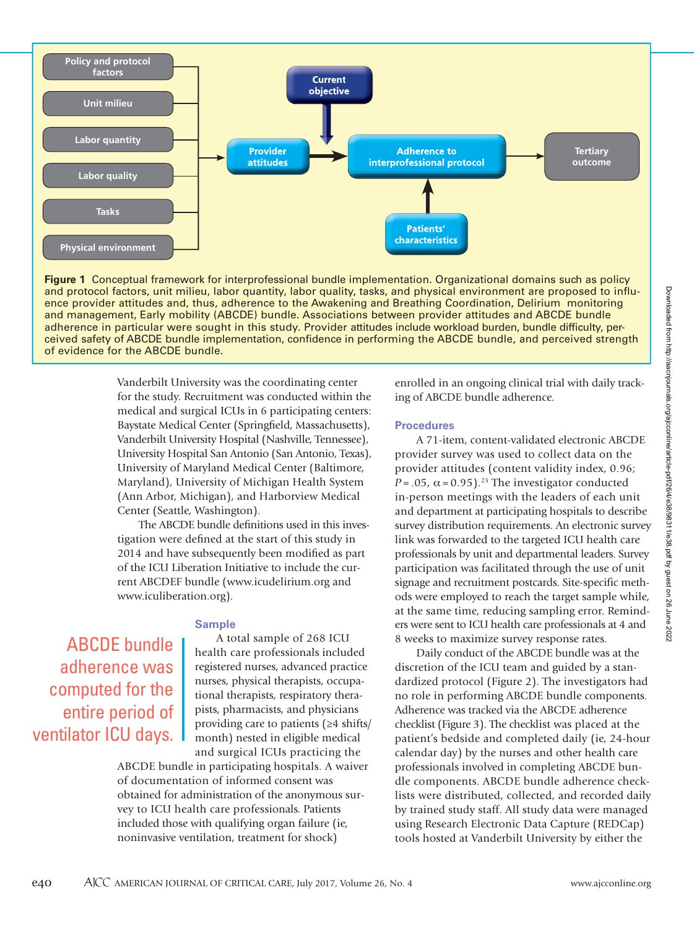

**Figure 1** Conceptual framework for interprofessional bundle implementation. Organizational domains such as policy and protocol factors, unit milieu, labor quantity, labor quality, tasks, and physical environment are proposed to influence provider attitudes and, thus, adherence to the Awakening and Breathing Coordination, Delirium monitoring and management, Early mobility (ABCDE) bundle. Associations between provider attitudes and ABCDE bundle adherence in particular were sought in this study. Provider attitudes include workload burden, bundle difficulty, perceived safety of ABCDE bundle implementation, confidence in performing the ABCDE bundle, and perceived strength of evidence for the ABCDE bundle.

Vanderbilt University was the coordinating center for the study. Recruitment was conducted within the medical and surgical ICUs in 6 participating centers: Baystate Medical Center (Springfield, Massachusetts), Vanderbilt University Hospital (Nashville, Tennessee), University Hospital San Antonio (San Antonio, Texas), University of Maryland Medical Center (Baltimore, Maryland), University of Michigan Health System (Ann Arbor, Michigan), and Harborview Medical Center (Seattle, Washington).

The ABCDE bundle definitions used in this investigation were defined at the start of this study in 2014 and have subsequently been modified as part of the ICU Liberation Initiative to include the current ABCDEF bundle (www.icudelirium.org and www.iculiberation.org).

#### **Sample**

ABCDE bundle adherence was computed for the entire period of ventilator ICU days.

**Policy and protocol** 

A total sample of 268 ICU health care professionals included registered nurses, advanced practice nurses, physical therapists, occupational therapists, respiratory therapists, pharmacists, and physicians providing care to patients (≥4 shifts/ month) nested in eligible medical and surgical ICUs practicing the

ABCDE bundle in participating hospitals. A waiver of documentation of informed consent was obtained for administration of the anonymous survey to ICU health care professionals. Patients included those with qualifying organ failure (ie, noninvasive ventilation, treatment for shock)

enrolled in an ongoing clinical trial with daily tracking of ABCDE bundle adherence.

#### **Procedures**

A 71-item, content-validated electronic ABCDE provider survey was used to collect data on the provider attitudes (content validity index, 0.96;  $P = .05$ ,  $\alpha = 0.95$ ).<sup>23</sup> The investigator conducted in-person meetings with the leaders of each unit and department at participating hospitals to describe survey distribution requirements. An electronic survey link was forwarded to the targeted ICU health care professionals by unit and departmental leaders. Survey participation was facilitated through the use of unit signage and recruitment postcards. Site-specific methods were employed to reach the target sample while, at the same time, reducing sampling error. Reminders were sent to ICU health care professionals at 4 and 8 weeks to maximize survey response rates.

Daily conduct of the ABCDE bundle was at the discretion of the ICU team and guided by a standardized protocol (Figure 2). The investigators had no role in performing ABCDE bundle components. Adherence was tracked via the ABCDE adherence checklist (Figure 3). The checklist was placed at the patient's bedside and completed daily (ie, 24-hour calendar day) by the nurses and other health care professionals involved in completing ABCDE bundle components. ABCDE bundle adherence checklists were distributed, collected, and recorded daily by trained study staff. All study data were managed using Research Electronic Data Capture (REDCap) tools hosted at Vanderbilt University by either the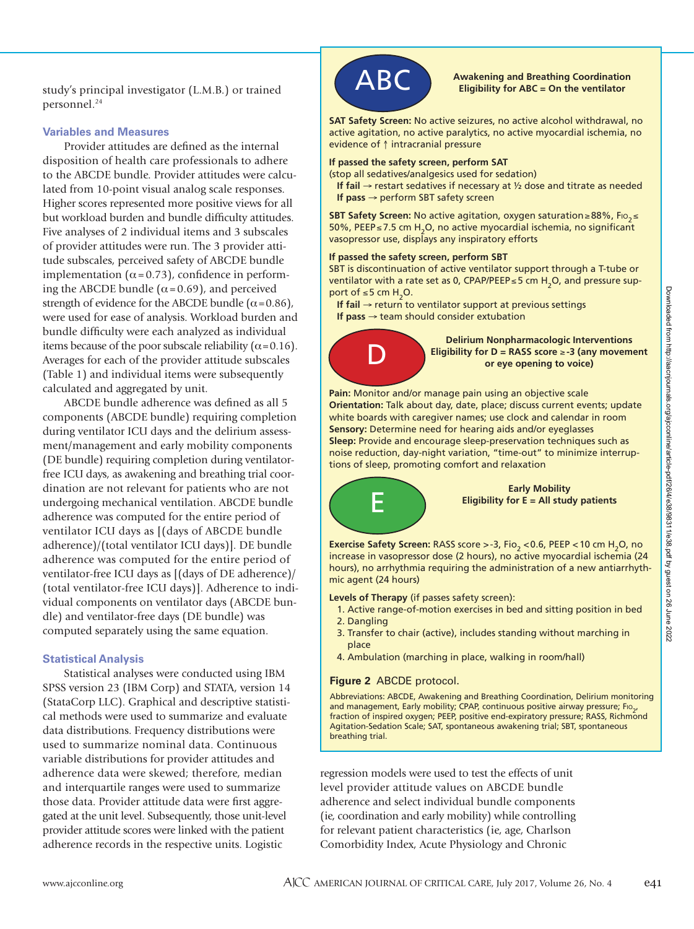study's principal investigator (L.M.B.) or trained personnel.24

#### **Variables and Measures**

Provider attitudes are defined as the internal disposition of health care professionals to adhere to the ABCDE bundle. Provider attitudes were calculated from 10-point visual analog scale responses. Higher scores represented more positive views for all but workload burden and bundle difficulty attitudes. Five analyses of 2 individual items and 3 subscales of provider attitudes were run. The 3 provider attitude subscales, perceived safety of ABCDE bundle implementation ( $α = 0.73$ ), confidence in performing the ABCDE bundle ( $\alpha$ =0.69), and perceived strength of evidence for the ABCDE bundle  $(\alpha = 0.86)$ , were used for ease of analysis. Workload burden and bundle difficulty were each analyzed as individual items because of the poor subscale reliability ( $\alpha$ =0.16). Averages for each of the provider attitude subscales (Table 1) and individual items were subsequently calculated and aggregated by unit.

ABCDE bundle adherence was defined as all 5 components (ABCDE bundle) requiring completion during ventilator ICU days and the delirium assessment/management and early mobility components (DE bundle) requiring completion during ventilatorfree ICU days, as awakening and breathing trial coordination are not relevant for patients who are not undergoing mechanical ventilation. ABCDE bundle adherence was computed for the entire period of ventilator ICU days as [(days of ABCDE bundle adherence)/(total ventilator ICU days)]. DE bundle adherence was computed for the entire period of ventilator-free ICU days as [(days of DE adherence)/ (total ventilator-free ICU days)]. Adherence to individual components on ventilator days (ABCDE bundle) and ventilator-free days (DE bundle) was computed separately using the same equation.

#### **Statistical Analysis**

Statistical analyses were conducted using IBM SPSS version 23 (IBM Corp) and STATA, version 14 (StataCorp LLC). Graphical and descriptive statistical methods were used to summarize and evaluate data distributions. Frequency distributions were used to summarize nominal data. Continuous variable distributions for provider attitudes and adherence data were skewed; therefore, median and interquartile ranges were used to summarize those data. Provider attitude data were first aggregated at the unit level. Subsequently, those unit-level provider attitude scores were linked with the patient adherence records in the respective units. Logistic



**Awakening and Breathing Coordination Eligibility for ABC = On the ventilator**

**SAT Safety Screen:** No active seizures, no active alcohol withdrawal, no active agitation, no active paralytics, no active myocardial ischemia, no evidence of ↑ intracranial pressure

#### **If passed the safety screen, perform SAT**

(stop all sedatives/analgesics used for sedation)

**If fail** → restart sedatives if necessary at ½ dose and titrate as needed **If pass** → perform SBT safety screen

**SBT Safety Screen:** No active agitation, oxygen saturation ≥88%, Fio<sub>2</sub> ≤ 50%, PEEP≤7.5 cm H<sub>2</sub>O, no active myocardial ischemia, no significant vasopressor use, displays any inspiratory efforts

#### **If passed the safety screen, perform SBT**

SBT is discontinuation of active ventilator support through a T-tube or ventilator with a rate set as 0, CPAP/PEEP≤5 cm H<sub>2</sub>O, and pressure support of  $\leq$  5 cm H<sub>2</sub>O.

**If fail** → return to ventilator support at previous settings **If pass** → team should consider extubation



E

**Delirium Nonpharmacologic Interventions Eligibility for D = RASS score** ≥**-3 (any movement or eye opening to voice)**

**Pain:** Monitor and/or manage pain using an objective scale **Orientation:** Talk about day, date, place; discuss current events; update white boards with caregiver names; use clock and calendar in room **Sensory:** Determine need for hearing aids and/or eyeglasses **Sleep:** Provide and encourage sleep-preservation techniques such as noise reduction, day-night variation, "time-out" to minimize interruptions of sleep, promoting comfort and relaxation

#### **Early Mobility Eligibility for E = All study patients**

**Exercise Safety Screen:** RASS score > -3, Fio<sub>2</sub> < 0.6, PEEP < 10 cm H<sub>2</sub>O, no increase in vasopressor dose (2 hours), no active myocardial ischemia (24 hours), no arrhythmia requiring the administration of a new antiarrhythmic agent (24 hours)

**Levels of Therapy** (if passes safety screen):

- 1. Active range-of-motion exercises in bed and sitting position in bed 2. Dangling
	-
- 3. Transfer to chair (active), includes standing without marching in place
- 4. Ambulation (marching in place, walking in room/hall)

#### **Figure 2** ABCDE protocol.

Abbreviations: ABCDE, Awakening and Breathing Coordination, Delirium monitoring and management, Early mobility; CPAP, continuous positive airway pressure;  $Fio<sub>2</sub>$ , fraction of inspired oxygen; PEEP, positive end-expiratory pressure; RASS, Richmond Agitation-Sedation Scale; SAT, spontaneous awakening trial; SBT, spontaneous breathing trial.

regression models were used to test the effects of unit level provider attitude values on ABCDE bundle adherence and select individual bundle components (ie, coordination and early mobility) while controlling for relevant patient characteristics (ie, age, Charlson Comorbidity Index, Acute Physiology and Chronic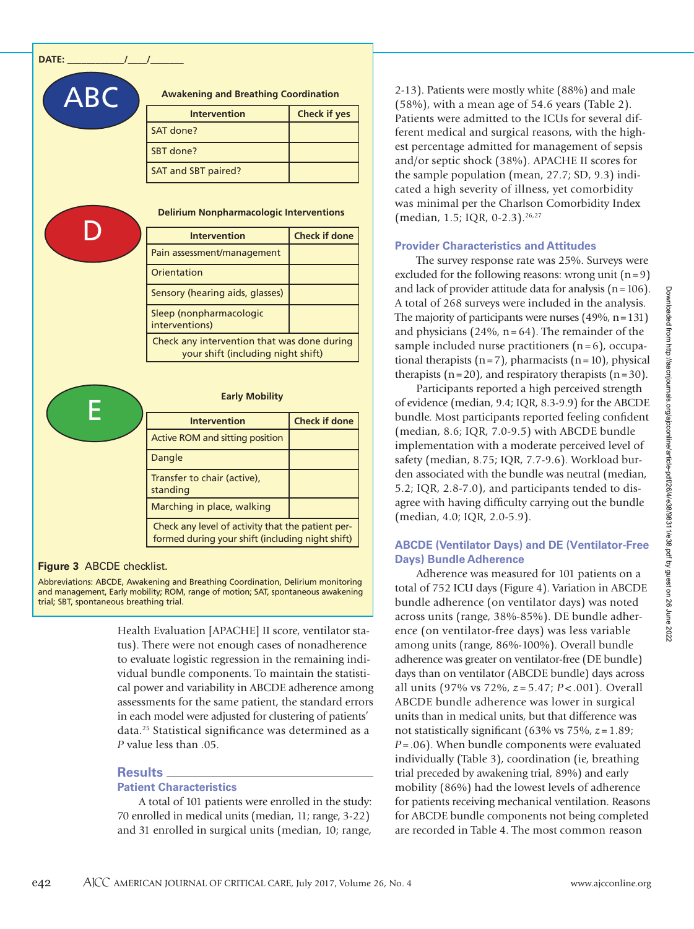| ֚֚֞<br>J                                      |
|-----------------------------------------------|
|                                               |
|                                               |
|                                               |
|                                               |
| Ś<br>l                                        |
| Í<br>ī                                        |
| ś                                             |
|                                               |
| į<br>í                                        |
|                                               |
|                                               |
| i<br>j                                        |
|                                               |
|                                               |
| z<br>j                                        |
| l                                             |
| í<br>í                                        |
| ś                                             |
|                                               |
|                                               |
| .<br>.<br>.<br>i                              |
|                                               |
|                                               |
| í<br>í<br>j                                   |
| ׇ֚֘                                           |
| l                                             |
| í                                             |
| í                                             |
| <br>í                                         |
|                                               |
| ׇ֖֚֬֕֕                                        |
| ¢<br>i                                        |
| l<br>í                                        |
|                                               |
| í                                             |
|                                               |
|                                               |
|                                               |
| ֖֖֖֖֖֖֖֖֧ׅ֖ׅ֪֪֪ׅ֖֧֚֚֚֚֚֚֚֚֚֚֚֚֚֚֚֚֚֚֚֚֬֝֓֝֓֝֬ |
| i                                             |
|                                               |
| :<br>í                                        |
|                                               |
| é<br>i                                        |
| į                                             |
| İ                                             |
| í                                             |
| Ó                                             |
|                                               |
|                                               |
| ׇ֘֝֕֡                                         |
| ١                                             |
| ┆                                             |
| ׇ֖֬֕֕                                         |
|                                               |
| í                                             |
| ī                                             |
| l<br>ś                                        |
| ś                                             |
| i<br>i                                        |
|                                               |
|                                               |
| $\ddot{\phantom{a}}$                          |
|                                               |
| 3                                             |
|                                               |
|                                               |
| IN CALL                                       |
|                                               |
| í                                             |
|                                               |
| š<br>ĺ                                        |

# **Awakening and Breathing Coordination Delirium Nonpharmacologic Interventions Early Mobility** ABC D E **Intervention Check if yes** SAT done? SBT done? SAT and SBT paired? **Intervention Check if done** Pain assessment/management Orientation Sensory (hearing aids, glasses) Sleep (nonpharmacologic interventions) Check any intervention that was done during your shift (including night shift)

| <b>Intervention</b>                                                                                   | <b>Check if done</b> |  |  |  |
|-------------------------------------------------------------------------------------------------------|----------------------|--|--|--|
| Active ROM and sitting position                                                                       |                      |  |  |  |
| Dangle                                                                                                |                      |  |  |  |
| Transfer to chair (active),<br>standing                                                               |                      |  |  |  |
| Marching in place, walking                                                                            |                      |  |  |  |
| Check any level of activity that the patient per-<br>formed during your shift (including night shift) |                      |  |  |  |

#### **Figure 3** ABCDE checklist.

 **DATE: \_\_\_\_\_\_\_\_\_\_\_\_/\_\_\_\_/\_\_\_\_\_\_\_**

Abbreviations: ABCDE, Awakening and Breathing Coordination, Delirium monitoring and management, Early mobility; ROM, range of motion; SAT, spontaneous awakening trial; SBT, spontaneous breathing trial.

> Health Evaluation [APACHE] II score, ventilator status). There were not enough cases of nonadherence to evaluate logistic regression in the remaining individual bundle components. To maintain the statistical power and variability in ABCDE adherence among assessments for the same patient, the standard errors in each model were adjusted for clustering of patients' data.25 Statistical significance was determined as a *P* value less than .05.

#### **Results**

#### **Patient Characteristics**

A total of 101 patients were enrolled in the study: 70 enrolled in medical units (median, 11; range, 3-22) and 31 enrolled in surgical units (median, 10; range, 2-13). Patients were mostly white (88%) and male (58%), with a mean age of 54.6 years (Table 2). Patients were admitted to the ICUs for several different medical and surgical reasons, with the highest percentage admitted for management of sepsis and/or septic shock (38%). APACHE II scores for the sample population (mean, 27.7; SD, 9.3) indicated a high severity of illness, yet comorbidity was minimal per the Charlson Comorbidity Index (median, 1.5; IQR, 0-2.3).<sup>26,27</sup>

## **Provider Characteristics and Attitudes**

The survey response rate was 25%. Surveys were excluded for the following reasons: wrong unit  $(n=9)$ and lack of provider attitude data for analysis  $(n=106)$ . A total of 268 surveys were included in the analysis. The majority of participants were nurses (49%, n=131) and physicians  $(24\%, n=64)$ . The remainder of the sample included nurse practitioners  $(n=6)$ , occupational therapists  $(n=7)$ , pharmacists  $(n=10)$ , physical therapists  $(n=20)$ , and respiratory therapists  $(n=30)$ .

Participants reported a high perceived strength of evidence (median, 9.4; IQR, 8.3-9.9) for the ABCDE bundle. Most participants reported feeling confident (median, 8.6; IQR, 7.0-9.5) with ABCDE bundle implementation with a moderate perceived level of safety (median, 8.75; IQR, 7.7-9.6). Workload burden associated with the bundle was neutral (median, 5.2; IQR, 2.8-7.0), and participants tended to disagree with having difficulty carrying out the bundle (median, 4.0; IQR, 2.0-5.9).

## **ABCDE (Ventilator Days) and DE (Ventilator-Free Days) Bundle Adherence**

Adherence was measured for 101 patients on a total of 752 ICU days (Figure 4). Variation in ABCDE bundle adherence (on ventilator days) was noted across units (range, 38%-85%). DE bundle adherence (on ventilator-free days) was less variable among units (range, 86%-100%). Overall bundle adherence was greater on ventilator-free (DE bundle) days than on ventilator (ABCDE bundle) days across all units (97% vs 72%, *z* = 5.47; *P* < .001). Overall ABCDE bundle adherence was lower in surgical units than in medical units, but that difference was not statistically significant (63% vs 75%, *z*=1.89; *P*=.06). When bundle components were evaluated individually (Table 3), coordination (ie, breathing trial preceded by awakening trial, 89%) and early mobility (86%) had the lowest levels of adherence for patients receiving mechanical ventilation. Reasons for ABCDE bundle components not being completed are recorded in Table 4. The most common reason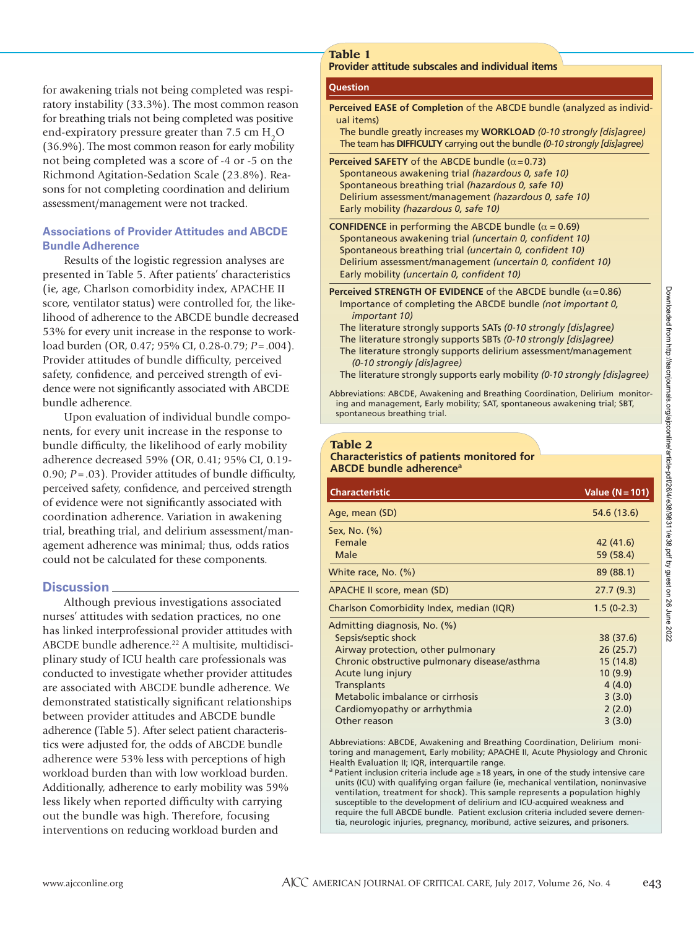for awakening trials not being completed was respiratory instability (33.3%). The most common reason for breathing trials not being completed was positive end-expiratory pressure greater than  $7.5 \text{ cm H}_2\text{O}$ (36.9%). The most common reason for early mobility not being completed was a score of -4 or -5 on the Richmond Agitation-Sedation Scale (23.8%). Reasons for not completing coordination and delirium assessment/management were not tracked.

#### **Associations of Provider Attitudes and ABCDE Bundle Adherence**

Results of the logistic regression analyses are presented in Table 5. After patients' characteristics (ie, age, Charlson comorbidity index, APACHE II score, ventilator status) were controlled for, the likelihood of adherence to the ABCDE bundle decreased 53% for every unit increase in the response to workload burden (OR, 0.47; 95% CI, 0.28-0.79; *P*=.004). Provider attitudes of bundle difficulty, perceived safety, confidence, and perceived strength of evidence were not significantly associated with ABCDE bundle adherence.

Upon evaluation of individual bundle components, for every unit increase in the response to bundle difficulty, the likelihood of early mobility adherence decreased 59% (OR, 0.41; 95% CI, 0.19- 0.90; *P*=.03). Provider attitudes of bundle difficulty, perceived safety, confidence, and perceived strength of evidence were not significantly associated with coordination adherence. Variation in awakening trial, breathing trial, and delirium assessment/management adherence was minimal; thus, odds ratios could not be calculated for these components.

#### **Discussion**

Although previous investigations associated nurses' attitudes with sedation practices, no one has linked interprofessional provider attitudes with ABCDE bundle adherence.<sup>22</sup> A multisite, multidisciplinary study of ICU health care professionals was conducted to investigate whether provider attitudes are associated with ABCDE bundle adherence. We demonstrated statistically significant relationships between provider attitudes and ABCDE bundle adherence (Table 5). After select patient characteristics were adjusted for, the odds of ABCDE bundle adherence were 53% less with perceptions of high workload burden than with low workload burden. Additionally, adherence to early mobility was 59% less likely when reported difficulty with carrying out the bundle was high. Therefore, focusing interventions on reducing workload burden and

#### **Table 1 Provider attitude subscales and individual items**

#### **Question**

| Perceived EASE of Completion of the ABCDE bundle (analyzed as individ-<br>ual items)<br>The bundle greatly increases my <b>WORKLOAD</b> (0-10 strongly [dis]agree)<br>The team has DIFFICULTY carrying out the bundle (0-10 strongly [dis]agree)                                                                                                                                                                                                                                                                                                                     |
|----------------------------------------------------------------------------------------------------------------------------------------------------------------------------------------------------------------------------------------------------------------------------------------------------------------------------------------------------------------------------------------------------------------------------------------------------------------------------------------------------------------------------------------------------------------------|
| <b>Perceived SAFETY</b> of the ABCDE bundle ( $\alpha$ =0.73)<br>Spontaneous awakening trial (hazardous 0, safe 10)<br>Spontaneous breathing trial (hazardous 0, safe 10)<br>Delirium assessment/management (hazardous 0, safe 10)<br>Early mobility (hazardous 0, safe 10)                                                                                                                                                                                                                                                                                          |
| <b>CONFIDENCE</b> in performing the ABCDE bundle ( $\alpha$ = 0.69)<br>Spontaneous awakening trial (uncertain 0, confident 10)<br>Spontaneous breathing trial (uncertain 0, confident 10)<br>Delirium assessment/management (uncertain 0, confident 10)<br>Early mobility (uncertain 0, confident 10)                                                                                                                                                                                                                                                                |
| Perceived STRENGTH OF EVIDENCE of the ABCDE bundle ( $\alpha$ = 0.86)<br>Importance of completing the ABCDE bundle (not important 0,<br><i>important 10)</i><br>The literature strongly supports SATs (0-10 strongly [dis]agree)<br>The literature strongly supports SBTs (0-10 strongly [dis]agree)<br>The literature strongly supports delirium assessment/management<br>(0-10 strongly [dis]agree)<br>The literature strongly supports early mobility (0-10 strongly [dis]agree)<br>Abbreviations: ABCDE, Awakening and Breathing Coordination, Delirium monitor- |
| ing and management, Early mobility; SAT, spontaneous awakening trial; SBT,<br>spontaneous breathing trial.                                                                                                                                                                                                                                                                                                                                                                                                                                                           |

#### **Characteristics of patients monitored for ABCDE bundle adherencea**

| <b>Characteristic</b>                        | <b>Value (N = 101)</b> |
|----------------------------------------------|------------------------|
| Age, mean (SD)                               | 54.6 (13.6)            |
| Sex, No. (%)                                 |                        |
| Female                                       | 42 (41.6)              |
| Male                                         | 59 (58.4)              |
| White race, No. (%)                          | 89 (88.1)              |
| <b>APACHE II score, mean (SD)</b>            | 27.7(9.3)              |
| Charlson Comorbidity Index, median (IQR)     | $1.5(0-2.3)$           |
| Admitting diagnosis, No. (%)                 |                        |
| Sepsis/septic shock                          | 38 (37.6)              |
| Airway protection, other pulmonary           | 26(25.7)               |
| Chronic obstructive pulmonary disease/asthma | 15 (14.8)              |
| Acute lung injury                            | 10(9.9)                |
| <b>Transplants</b>                           | 4(4.0)                 |
| Metabolic imbalance or cirrhosis             | 3(3.0)                 |
| Cardiomyopathy or arrhythmia                 | 2(2.0)                 |
| Other reason                                 | 3(3.0)                 |

Abbreviations: ABCDE, Awakening and Breathing Coordination, Delirium monitoring and management, Early mobility; APACHE II, Acute Physiology and Chronic Health Evaluation II; IQR, interquartile range.

<sup>a</sup> Patient inclusion criteria include age ≥18 years, in one of the study intensive care units (ICU) with qualifying organ failure (ie, mechanical ventilation, noninvasive ventilation, treatment for shock). This sample represents a population highly susceptible to the development of delirium and ICU-acquired weakness and require the full ABCDE bundle. Patient exclusion criteria included severe dementia, neurologic injuries, pregnancy, moribund, active seizures, and prisoners.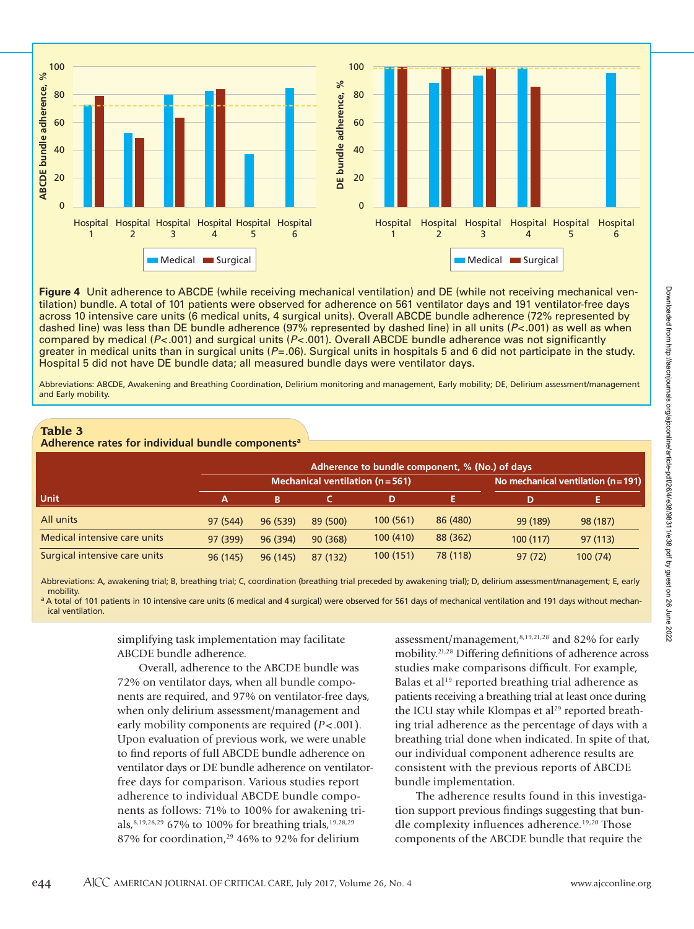

**Figure 4** Unit adherence to ABCDE (while receiving mechanical ventilation) and DE (while not receiving mechanical ventilation) bundle. A total of 101 patients were observed for adherence on 561 ventilator days and 191 ventilator-free days across 10 intensive care units (6 medical units, 4 surgical units). Overall ABCDE bundle adherence (72% represented by dashed line) was less than DE bundle adherence (97% represented by dashed line) in all units (*P*<.001) as well as when compared by medical (P<.001) and surgical units (P<.001). Overall ABCDE bundle adherence was not significantly greater in medical units than in surgical units ( $P = 06$ ). Surgical units in hospitals 5 and 6 did not participate in the study. Hospital 5 did not have DE bundle data; all measured bundle days were ventilator days.

Abbreviations: ABCDE, Awakening and Breathing Coordination, Delirium monitoring and management, Early mobility; DE, Delirium assessment/management and Early mobility.

#### **Table 3**

#### **Adherence rates for individual bundle componentsa**

|                               | Adherence to bundle component, % (No.) of days |          |          |           |                                   |          |          |
|-------------------------------|------------------------------------------------|----------|----------|-----------|-----------------------------------|----------|----------|
|                               | Mechanical ventilation ( $n = 561$ )           |          |          |           | No mechanical ventilation (n=191) |          |          |
| <b>Unit</b>                   | А                                              | R        |          | D.        | ь                                 | D        |          |
| All units                     | 97 (544)                                       | 96 (539) | 89 (500) | 100 (561) | 86 (480)                          | 99 (189) | 98 (187) |
| Medical intensive care units  | 97 (399)                                       | 96 (394) | 90(368)  | 100(410)  | 88 (362)                          | 100(117) | 97(113)  |
| Surgical intensive care units | 96 (145)                                       | 96 (145) | 87 (132) | 100(151)  | 78 (118)                          | 97(72)   | 100(74)  |

Abbreviations: A, awakening trial; B, breathing trial; C, coordination (breathing trial preceded by awakening trial); D, delirium assessment/management; E, early

<sup>a</sup> A total of 101 patients in 10 intensive care units (6 medical and 4 surgical) were observed for 561 days of mechanical ventilation and 191 days without mechanical ventilation.

> simplifying task implementation may facilitate ABCDE bundle adherence.

Overall, adherence to the ABCDE bundle was 72% on ventilator days, when all bundle components are required, and 97% on ventilator-free days, when only delirium assessment/management and early mobility components are required ( $P < .001$ ). Upon evaluation of previous work, we were unable to find reports of full ABCDE bundle adherence on ventilator days or DE bundle adherence on ventilatorfree days for comparison. Various studies report adherence to individual ABCDE bundle components as follows: 71% to 100% for awakening trials,<sup>8,19,28,29</sup> 67% to 100% for breathing trials,<sup>19,28,29</sup> 87% for coordination,<sup>29</sup> 46% to 92% for delirium

assessment/management, $8,19,21,28$  and 82% for early mobility.<sup>21,28</sup> Differing definitions of adherence across studies make comparisons difficult. For example, Balas et al<sup>19</sup> reported breathing trial adherence as patients receiving a breathing trial at least once during the ICU stay while Klompas et al<sup>29</sup> reported breathing trial adherence as the percentage of days with a breathing trial done when indicated. In spite of that, our individual component adherence results are consistent with the previous reports of ABCDE bundle implementation.

The adherence results found in this investigation support previous findings suggesting that bundle complexity influences adherence.<sup>19,20</sup> Those components of the ABCDE bundle that require the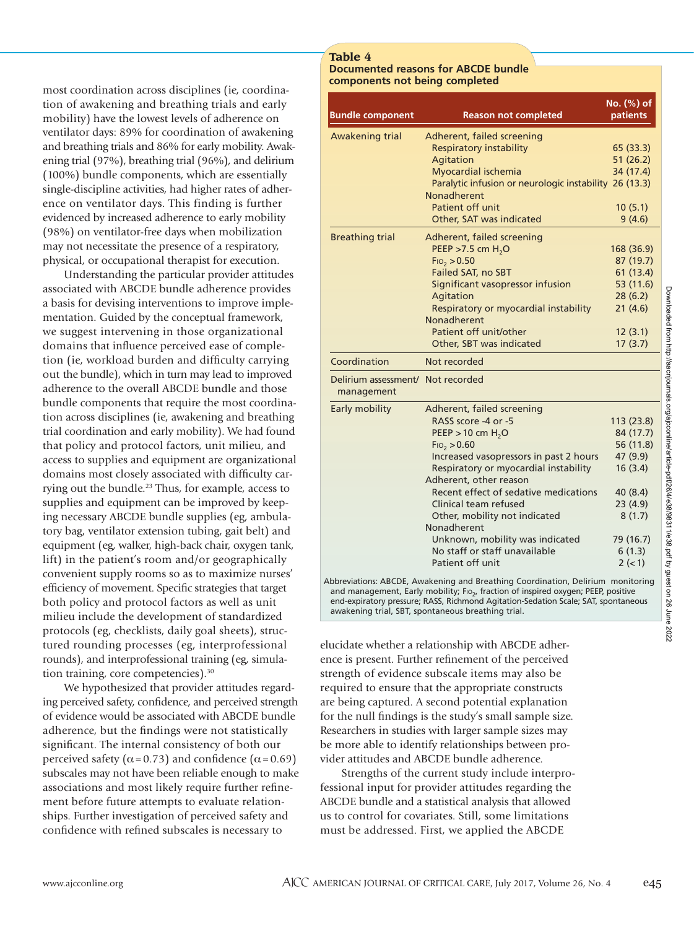most coordination across disciplines (ie, coordination of awakening and breathing trials and early mobility) have the lowest levels of adherence on ventilator days: 89% for coordination of awakening and breathing trials and 86% for early mobility. Awakening trial (97%), breathing trial (96%), and delirium (100%) bundle components, which are essentially single-discipline activities, had higher rates of adherence on ventilator days. This finding is further evidenced by increased adherence to early mobility (98%) on ventilator-free days when mobilization may not necessitate the presence of a respiratory, physical, or occupational therapist for execution.

Understanding the particular provider attitudes associated with ABCDE bundle adherence provides a basis for devising interventions to improve implementation. Guided by the conceptual framework, we suggest intervening in those organizational domains that influence perceived ease of completion (ie, workload burden and difficulty carrying out the bundle), which in turn may lead to improved adherence to the overall ABCDE bundle and those bundle components that require the most coordination across disciplines (ie, awakening and breathing trial coordination and early mobility). We had found that policy and protocol factors, unit milieu, and access to supplies and equipment are organizational domains most closely associated with difficulty carrying out the bundle.<sup>23</sup> Thus, for example, access to supplies and equipment can be improved by keeping necessary ABCDE bundle supplies (eg, ambulatory bag, ventilator extension tubing, gait belt) and equipment (eg, walker, high-back chair, oxygen tank, lift) in the patient's room and/or geographically convenient supply rooms so as to maximize nurses' efficiency of movement. Specific strategies that target both policy and protocol factors as well as unit milieu include the development of standardized protocols (eg, checklists, daily goal sheets), structured rounding processes (eg, interprofessional rounds), and interprofessional training (eg, simulation training, core competencies).30

We hypothesized that provider attitudes regarding perceived safety, confidence, and perceived strength of evidence would be associated with ABCDE bundle adherence, but the findings were not statistically significant. The internal consistency of both our perceived safety ( $\alpha$ =0.73) and confidence ( $\alpha$ =0.69) subscales may not have been reliable enough to make associations and most likely require further refinement before future attempts to evaluate relationships. Further investigation of perceived safety and confidence with refined subscales is necessary to

#### **Table 4 Documented reasons for ABCDE bundle components not being completed**

| <b>Bundle component</b>                         | <b>Reason not completed</b>                                                     | No. (%) of<br>patients |
|-------------------------------------------------|---------------------------------------------------------------------------------|------------------------|
| Awakening trial                                 | Adherent, failed screening                                                      |                        |
|                                                 | <b>Respiratory instability</b>                                                  | 65 (33.3)              |
|                                                 | Agitation                                                                       | 51(26.2)               |
|                                                 | Myocardial ischemia                                                             | 34 (17.4)              |
|                                                 | Paralytic infusion or neurologic instability 26 (13.3)<br>Nonadherent           |                        |
|                                                 | Patient off unit                                                                | 10(5.1)                |
|                                                 | Other, SAT was indicated                                                        | 9(4.6)                 |
| <b>Breathing trial</b>                          | Adherent, failed screening                                                      |                        |
|                                                 | PEEP >7.5 cm $H2O$                                                              | 168 (36.9)             |
|                                                 | $F_{1O_2} > 0.50$                                                               | 87 (19.7)              |
|                                                 | Failed SAT, no SBT                                                              | 61(13.4)               |
|                                                 | Significant vasopressor infusion                                                | 53 (11.6)              |
|                                                 | Agitation                                                                       | 28(6.2)                |
|                                                 | Respiratory or myocardial instability<br>Nonadherent                            | 21(4.6)                |
|                                                 | Patient off unit/other                                                          | 12(3.1)                |
|                                                 | Other, SBT was indicated                                                        | 17(3.7)                |
| Coordination                                    | Not recorded                                                                    |                        |
| Delirium assessment/ Not recorded<br>management |                                                                                 |                        |
| Early mobility                                  | Adherent, failed screening                                                      |                        |
|                                                 | RASS score -4 or -5                                                             | 113 (23.8)             |
|                                                 | $PEEP > 10$ cm $H2O$                                                            | 84 (17.7)              |
|                                                 | $FIO_2 > 0.60$                                                                  | 56 (11.8)              |
|                                                 | Increased vasopressors in past 2 hours                                          | 47 (9.9)               |
|                                                 | Respiratory or myocardial instability                                           | 16(3.4)                |
|                                                 | Adherent, other reason                                                          |                        |
|                                                 | Recent effect of sedative medications                                           | 40 (8.4)               |
|                                                 | Clinical team refused                                                           | 23 (4.9)               |
|                                                 | Other, mobility not indicated<br>Nonadherent                                    | 8(1.7)                 |
|                                                 | Unknown, mobility was indicated                                                 | 79 (16.7)              |
|                                                 | No staff or staff unavailable                                                   | 6(1.3)                 |
|                                                 | Patient off unit                                                                | 2 (< 1)                |
|                                                 | Abbreviations: ABCDE, Awakening and Breathing Coordination, Delirium monitoring |                        |

and management, Early mobility; F<sub>IO2</sub>, fraction of inspired oxygen; PEEP, positive end-expiratory pressure; RASS, Richmond Agitation-Sedation Scale; SAT, spontaneous awakening trial, SBT, spontaneous breathing trial.

elucidate whether a relationship with ABCDE adherence is present. Further refinement of the perceived strength of evidence subscale items may also be required to ensure that the appropriate constructs are being captured. A second potential explanation for the null findings is the study's small sample size. Researchers in studies with larger sample sizes may be more able to identify relationships between provider attitudes and ABCDE bundle adherence.

Strengths of the current study include interprofessional input for provider attitudes regarding the ABCDE bundle and a statistical analysis that allowed us to control for covariates. Still, some limitations must be addressed. First, we applied the ABCDE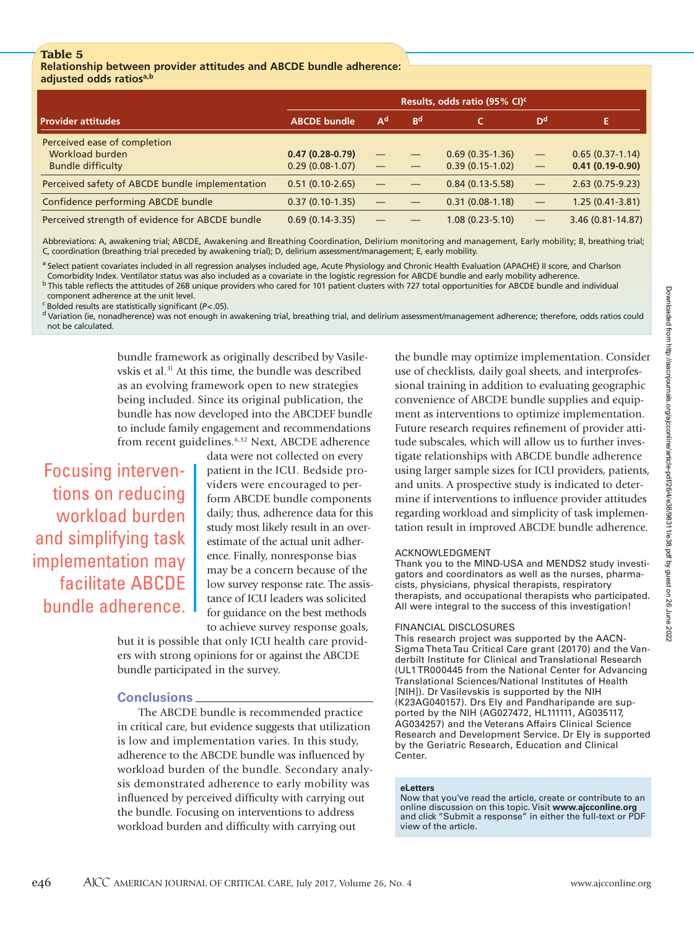#### **Table 5**

**Relationship between provider attitudes and ABCDE bundle adherence: adjusted odds ratiosa,b**

|                                                 | Results, odds ratio (95% CI) <sup>c</sup> |       |                |                     |                |                   |
|-------------------------------------------------|-------------------------------------------|-------|----------------|---------------------|----------------|-------------------|
| <b>Provider attitudes</b>                       | <b>ABCDE</b> bundle                       | $A^d$ | B <sup>d</sup> |                     | D <sup>d</sup> | Е                 |
| Perceived ease of completion                    |                                           |       |                |                     |                |                   |
| Workload burden                                 | $0.47(0.28-0.79)$                         |       |                | $0.69(0.35-1.36)$   |                | $0.65(0.37-1.14)$ |
| <b>Bundle difficulty</b>                        | $0.29(0.08-1.07)$                         |       |                | $0.39(0.15-1.02)$   |                | $0.41(0.19-0.90)$ |
| Perceived safety of ABCDE bundle implementation | $0.51(0.10-2.65)$                         |       |                | $0.84(0.13 - 5.58)$ |                | $2.63(0.75-9.23)$ |
| Confidence performing ABCDE bundle              | $0.37(0.10-1.35)$                         |       |                | $0.31(0.08-1.18)$   |                | $1.25(0.41-3.81)$ |
| Perceived strength of evidence for ABCDE bundle | $0.69(0.14-3.35)$                         |       |                | $1.08(0.23 - 5.10)$ |                | 3.46 (0.81-14.87) |

Abbreviations: A, awakening trial; ABCDE, Awakening and Breathing Coordination, Delirium monitoring and management, Early mobility; B, breathing trial; C, coordination (breathing trial preceded by awakening trial); D, delirium assessment/management; E, early mobility.

a Select patient covariates included in all regression analyses included age, Acute Physiology and Chronic Health Evaluation (APACHE) II score, and Charlson Comorbidity Index. Ventilator status was also included as a covariate in the logistic regression for ABCDE bundle and early mobility adherence.

b This table reflects the attitudes of 268 unique providers who cared for 101 patient clusters with 727 total opportunities for ABCDE bundle and individual component adherence at the unit level.<br>  $\epsilon$  Bolded results are statistically significant (P<.05).

<sup>d</sup> Variation (ie, nonadherence) was not enough in awakening trial, breathing trial, and delirium assessment/management adherence; therefore, odds ratios could not be calculated.

> bundle framework as originally described by Vasilevskis et al.<sup>31</sup> At this time, the bundle was described as an evolving framework open to new strategies being included. Since its original publication, the bundle has now developed into the ABCDEF bundle to include family engagement and recommendations from recent guidelines.6,32 Next, ABCDE adherence

Focusing interventions on reducing workload burden and simplifying task implementation may facilitate ABCDE bundle adherence. data were not collected on every patient in the ICU. Bedside providers were encouraged to perform ABCDE bundle components daily; thus, adherence data for this study most likely result in an overestimate of the actual unit adherence. Finally, nonresponse bias may be a concern because of the low survey response rate. The assistance of ICU leaders was solicited for guidance on the best methods to achieve survey response goals,

but it is possible that only ICU health care providers with strong opinions for or against the ABCDE bundle participated in the survey.

#### **Conclusions**

The ABCDE bundle is recommended practice in critical care, but evidence suggests that utilization is low and implementation varies. In this study, adherence to the ABCDE bundle was influenced by workload burden of the bundle. Secondary analysis demonstrated adherence to early mobility was influenced by perceived difficulty with carrying out the bundle. Focusing on interventions to address workload burden and difficulty with carrying out

the bundle may optimize implementation. Consider use of checklists, daily goal sheets, and interprofessional training in addition to evaluating geographic convenience of ABCDE bundle supplies and equipment as interventions to optimize implementation. Future research requires refinement of provider attitude subscales, which will allow us to further investigate relationships with ABCDE bundle adherence using larger sample sizes for ICU providers, patients, and units. A prospective study is indicated to determine if interventions to influence provider attitudes regarding workload and simplicity of task implementation result in improved ABCDE bundle adherence.

#### ACKNOWLEDGMENT

Thank you to the MIND-USA and MENDS2 study investigators and coordinators as well as the nurses, pharmacists, physicians, physical therapists, respiratory therapists, and occupational therapists who participated. All were integral to the success of this investigation!

#### FINANCIAL DISCLOSURES

This research project was supported by the AACN-Sigma Theta Tau Critical Care grant (20170) and the Vanderbilt Institute for Clinical and Translational Research (UL1 TR000445 from the National Center for Advancing Translational Sciences/National Institutes of Health [NIH]). Dr Vasilevskis is supported by the NIH (K23AG040157). Drs Ely and Pandharipande are supported by the NIH (AG027472, HL111111, AG035117, AG034257) and the Veterans Affairs Clinical Science Research and Development Service. Dr Ely is supported by the Geriatric Research, Education and Clinical Center.

#### **eLetters**

Now that you've read the article, create or contribute to an online discussion on this topic. Visit **www.ajcconline.org** and click "Submit a response" in either the full-text or PDF view of the article.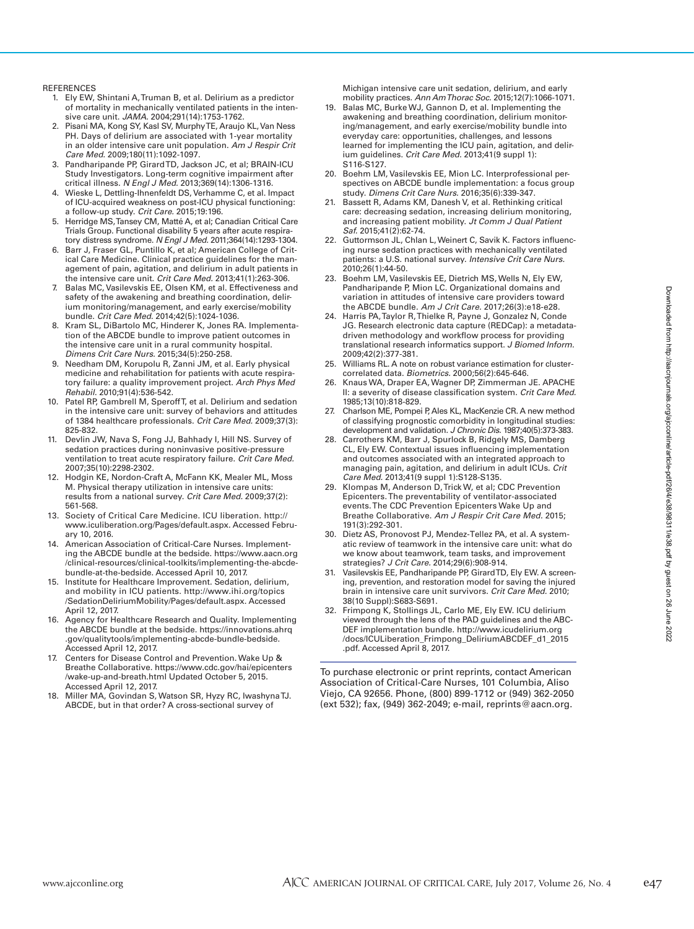#### **REFERENCES**

- 1. Ely EW, Shintani A, Truman B, et al. Delirium as a predictor of mortality in mechanically ventilated patients in the intensive care unit. *JAMA.* 2004;291(14):1753-1762.
- 2. Pisani MA, Kong SY, Kasl SV, Murphy TE, Araujo KL, Van Ness PH. Days of delirium are associated with 1-year mortality in an older intensive care unit population. *Am J Respir Crit Care Med.* 2009;180(11):1092-1097.
- 3. Pandharipande PP, Girard TD, Jackson JC, et al; BRAIN-ICU Study Investigators. Long-term cognitive impairment after critical illness. *N Engl J Med.* 2013;369(14):1306-1316.
- 4. Wieske L, Dettling-Ihnenfeldt DS, Verhamme C, et al. Impact of ICU-acquired weakness on post-ICU physical functioning: a follow-up study. *Crit Care.* 2015;19:196.
- 5. Herridge MS, Tansey CM, Matté A, et al; Canadian Critical Care Trials Group. Functional disability 5 years after acute respiratory distress syndrome. *N Engl J Med.* 2011;364(14):1293-1304.
- 6. Barr J, Fraser GL, Puntillo K, et al; American College of Critical Care Medicine. Clinical practice guidelines for the management of pain, agitation, and delirium in adult patients in the intensive care unit. *Crit Care Med.* 2013;41(1):263-306.
- 7. Balas MC, Vasilevskis EE, Olsen KM, et al. Effectiveness and safety of the awakening and breathing coordination, delirium monitoring/management, and early exercise/mobility bundle. *Crit Care Med.* 2014;42(5):1024-1036.
- 8. Kram SL, DiBartolo MC, Hinderer K, Jones RA. Implementation of the ABCDE bundle to improve patient outcomes in the intensive care unit in a rural community hospital. *Dimens Crit Care Nurs.* 2015;34(5):250-258.
- 9. Needham DM, Korupolu R, Zanni JM, et al. Early physical medicine and rehabilitation for patients with acute respiratory failure: a quality improvement project. *Arch Phys Med Rehabil.* 2010;91(4):536-542.
- 10. Patel RP, Gambrell M, Speroff T, et al. Delirium and sedation in the intensive care unit: survey of behaviors and attitudes of 1384 healthcare professionals. *Crit Care Med.* 2009;37(3): 825-832.
- Devlin JW, Nava S, Fong JJ, Bahhady I, Hill NS. Survey of sedation practices during noninvasive positive-pressure ventilation to treat acute respiratory failure. *Crit Care Med.* 2007;35(10):2298-2302.
- 12. Hodgin KE, Nordon-Craft A, McFann KK, Mealer ML, Moss M. Physical therapy utilization in intensive care units: results from a national survey. *Crit Care Med.* 2009;37(2): 561-568.
- 13. Society of Critical Care Medicine. ICU liberation. http:// www.iculiberation.org/Pages/default.aspx. Accessed February 10, 2016.
- 14. American Association of Critical-Care Nurses. Implementing the ABCDE bundle at the bedside. https://www.aacn.org /clinical-resources/clinical-toolkits/implementing-the-abcdebundle-at-the-bedside. Accessed April 10, 2017.
- 15. Institute for Healthcare Improvement. Sedation, delirium, and mobility in ICU patients. http://www.ihi.org/topics /SedationDeliriumMobility/Pages/default.aspx. Accessed April 12, 2017.
- 16. Agency for Healthcare Research and Quality. Implementing the ABCDE bundle at the bedside. https://innovations.ahrq .gov/qualitytools/implementing-abcde-bundle-bedside. Accessed April 12, 2017.
- 17. Centers for Disease Control and Prevention. Wake Up & Breathe Collaborative. https://www.cdc.gov/hai/epicenters /wake-up-and-breath.html Updated October 5, 2015. Accessed April 12, 2017.
- 18. Miller MA, Govindan S, Watson SR, Hyzy RC, Iwashyna TJ. ABCDE, but in that order? A cross-sectional survey of

Michigan intensive care unit sedation, delirium, and early mobility practices. *Ann Am Thorac Soc.* 2015;12(7):1066-1071.

- 19. Balas MC, Burke WJ, Gannon D, et al. Implementing the awakening and breathing coordination, delirium monitoring/management, and early exercise/mobility bundle into everyday care: opportunities, challenges, and lessons learned for implementing the ICU pain, agitation, and delirium guidelines. *Crit Care Med.* 2013;41(9 suppl 1): S116-S127.
- 20. Boehm LM, Vasilevskis EE, Mion LC. Interprofessional perspectives on ABCDE bundle implementation: a focus group study. *Dimens Crit Care Nurs.* 2016;35(6):339-347.
- 21. Bassett R, Adams KM, Danesh V, et al. Rethinking critical care: decreasing sedation, increasing delirium monitoring, and increasing patient mobility. *Jt Comm J Qual Patient Saf.* 2015;41(2):62-74.
- 22. Guttormson JL, Chlan L, Weinert C, Savik K. Factors influencing nurse sedation practices with mechanically ventilated patients: a U.S. national survey. *Intensive Crit Care Nurs.* 2010;26(1):44-50.
- 23. Boehm LM, Vasilevskis EE, Dietrich MS, Wells N, Ely EW, Pandharipande P, Mion LC. Organizational domains and variation in attitudes of intensive care providers toward the ABCDE bundle. *Am J Crit Care.* 2017;26(3):e18-e28.
- 24. Harris PA, Taylor R, Thielke R, Payne J, Gonzalez N, Conde JG. Research electronic data capture (REDCap): a metadatadriven methodology and workflow process for providing translational research informatics support. *J Biomed Inform.* 2009;42(2):377-381.
- 25. Williams RL. A note on robust variance estimation for clustercorrelated data. *Biometrics.* 2000;56(2):645-646.
- 26. Knaus WA, Draper EA, Wagner DP, Zimmerman JE. APACHE II: a severity of disease classification system. *Crit Care Med.*  1985;13(10):818-829.
- 27. Charlson ME, Pompei P, Ales KL, MacKenzie CR. A new method of classifying prognostic comorbidity in longitudinal studies: development and validation. *J Chronic Dis.* 1987;40(5):373-383.
- 28. Carrothers KM, Barr J, Spurlock B, Ridgely MS, Damberg CL, Ely EW. Contextual issues influencing implementation and outcomes associated with an integrated approach to managing pain, agitation, and delirium in adult ICUs. *Crit Care Med.* 2013;41(9 suppl 1):S128-S135.
- 29. Klompas M, Anderson D, Trick W, et al; CDC Prevention Epicenters. The preventability of ventilator-associated events. The CDC Prevention Epicenters Wake Up and Breathe Collaborative. *Am J Respir Crit Care Med.* 2015; 191(3):292-301.
- 30. Dietz AS, Pronovost PJ, Mendez-Tellez PA, et al. A systematic review of teamwork in the intensive care unit: what do we know about teamwork, team tasks, and improvement strategies? *J Crit Care.* 2014;29(6):908-914.
- 31. Vasilevskis EE, Pandharipande PP, Girard TD, Ely EW. A screening, prevention, and restoration model for saving the injured brain in intensive care unit survivors. *Crit Care Med.* 2010; 38(10 Suppl):S683-S691.
- 32. Frimpong K, Stollings JL, Carlo ME, Ely EW. ICU delirium viewed through the lens of the PAD guidelines and the ABC-DEF implementation bundle. http://www.icudelirium.org /docs/ICULiberation\_Frimpong\_DeliriumABCDEF\_d1\_2015 .pdf. Accessed April 8, 2017.

To purchase electronic or print reprints, contact American Association of Critical-Care Nurses, 101 Columbia, Aliso Viejo, CA 92656. Phone, (800) 899-1712 or (949) 362-2050 (ext 532); fax, (949) 362-2049; e-mail, reprints@aacn.org.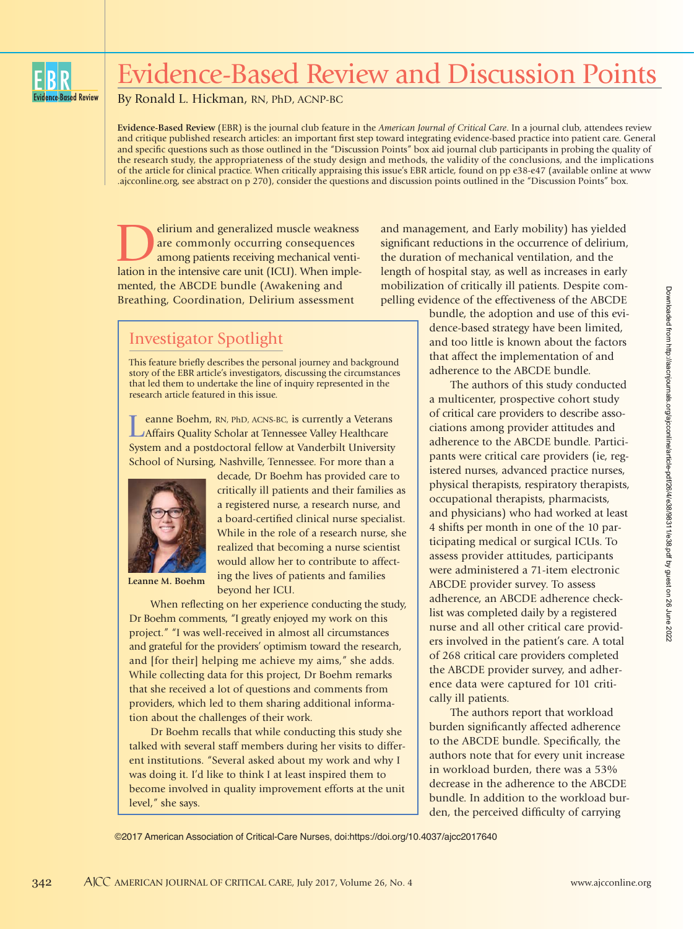

# Evidence-Based Review and Discussion Points

By Ronald L. Hickman, RN, PhD, ACNP-BC

**Evidence-Based Review** (EBR) is the journal club feature in the *American Journal of Critical Care*. In a journal club, attendees review and critique published research articles: an important first step toward integrating evidence-based practice into patient care. General and specific questions such as those outlined in the "Discussion Points" box aid journal club participants in probing the quality of the research study, the appropriateness of the study design and methods, the validity of the conclusions, and the implications of the article for clinical practice. When critically appraising this issue's EBR article, found on pp e38-e47 (available online at www .ajcconline.org, see abstract on p 270), consider the questions and discussion points outlined in the "Discussion Points" box.

**Example 1** and generalized muscle weakness are commonly occurring consequences among patients receiving mechanical ventilation in the intensive care unit (ICU). When impleare commonly occurring consequences among patients receiving mechanical ventimented, the ABCDE bundle (Awakening and Breathing, Coordination, Delirium assessment

and management, and Early mobility) has yielded significant reductions in the occurrence of delirium, the duration of mechanical ventilation, and the length of hospital stay, as well as increases in early mobilization of critically ill patients. Despite compelling evidence of the effectiveness of the ABCDE

# Investigator Spotlight

This feature briefly describes the personal journey and background story of the EBR article's investigators, discussing the circumstances that led them to undertake the line of inquiry represented in the research article featured in this issue.

eanne Boehm, RN, PhD, ACNS-BC, is currently a Veterans Affairs Quality Scholar at Tennessee Valley Healthcare System and a postdoctoral fellow at Vanderbilt University School of Nursing, Nashville, Tennessee. For more than a



**Leanne M. Boehm**

decade, Dr Boehm has provided care to critically ill patients and their families as a registered nurse, a research nurse, and a board-certified clinical nurse specialist. While in the role of a research nurse, she realized that becoming a nurse scientist would allow her to contribute to affecting the lives of patients and families beyond her ICU.

When reflecting on her experience conducting the study, Dr Boehm comments, "I greatly enjoyed my work on this project." "I was well-received in almost all circumstances and grateful for the providers' optimism toward the research, and [for their] helping me achieve my aims," she adds. While collecting data for this project, Dr Boehm remarks that she received a lot of questions and comments from providers, which led to them sharing additional information about the challenges of their work.

Dr Boehm recalls that while conducting this study she talked with several staff members during her visits to different institutions. "Several asked about my work and why I was doing it. I'd like to think I at least inspired them to become involved in quality improvement efforts at the unit level," she says.

bundle, the adoption and use of this evidence-based strategy have been limited, and too little is known about the factors that affect the implementation of and adherence to the ABCDE bundle.

The authors of this study conducted a multicenter, prospective cohort study of critical care providers to describe associations among provider attitudes and adherence to the ABCDE bundle. Participants were critical care providers (ie, registered nurses, advanced practice nurses, physical therapists, respiratory therapists, occupational therapists, pharmacists, and physicians) who had worked at least 4 shifts per month in one of the 10 participating medical or surgical ICUs. To assess provider attitudes, participants were administered a 71-item electronic ABCDE provider survey. To assess adherence, an ABCDE adherence checklist was completed daily by a registered nurse and all other critical care providers involved in the patient's care. A total of 268 critical care providers completed the ABCDE provider survey, and adherence data were captured for 101 critically ill patients.

The authors report that workload burden significantly affected adherence to the ABCDE bundle. Specifically, the authors note that for every unit increase in workload burden, there was a 53% decrease in the adherence to the ABCDE bundle. In addition to the workload burden, the perceived difficulty of carrying

©2017 American Association of Critical-Care Nurses, doi:https://doi.org/10.4037/ajcc2017640